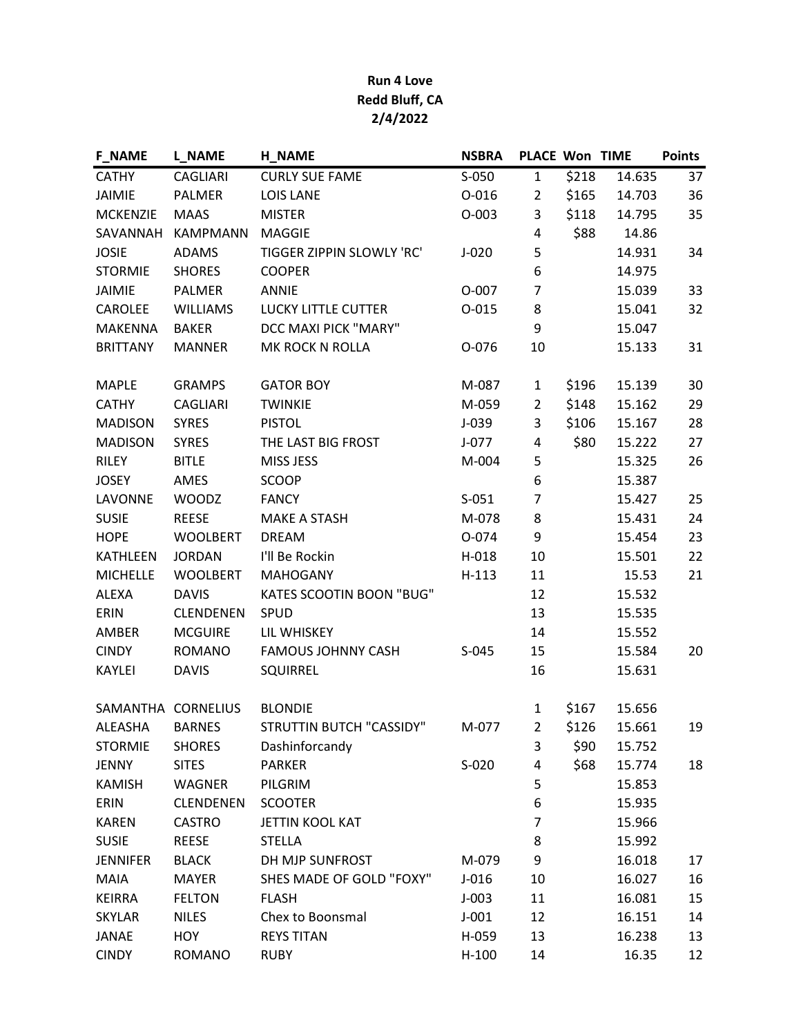## Run 4 Love Redd Bluff, CA 2/4/2022

| <b>F_NAME</b>   | <b>L_NAME</b>      | <b>H_NAME</b>                   | <b>NSBRA</b> | PLACE Won TIME |       |        | <b>Points</b> |
|-----------------|--------------------|---------------------------------|--------------|----------------|-------|--------|---------------|
| <b>CATHY</b>    | <b>CAGLIARI</b>    | <b>CURLY SUE FAME</b>           | $S-050$      | $\mathbf{1}$   | \$218 | 14.635 | 37            |
| <b>JAIMIE</b>   | <b>PALMER</b>      | <b>LOIS LANE</b>                | $O - 016$    | $\overline{2}$ | \$165 | 14.703 | 36            |
| <b>MCKENZIE</b> | <b>MAAS</b>        | <b>MISTER</b>                   | $O-003$      | 3              | \$118 | 14.795 | 35            |
| SAVANNAH        | <b>KAMPMANN</b>    | <b>MAGGIE</b>                   |              | 4              | \$88  | 14.86  |               |
| <b>JOSIE</b>    | <b>ADAMS</b>       | TIGGER ZIPPIN SLOWLY 'RC'       | $J-020$      | 5              |       | 14.931 | 34            |
| <b>STORMIE</b>  | <b>SHORES</b>      | <b>COOPER</b>                   |              | 6              |       | 14.975 |               |
| <b>JAIMIE</b>   | <b>PALMER</b>      | <b>ANNIE</b>                    | O-007        | $\overline{7}$ |       | 15.039 | 33            |
| CAROLEE         | <b>WILLIAMS</b>    | LUCKY LITTLE CUTTER             | $0 - 015$    | 8              |       | 15.041 | 32            |
| <b>MAKENNA</b>  | <b>BAKER</b>       | DCC MAXI PICK "MARY"            |              | 9              |       | 15.047 |               |
| <b>BRITTANY</b> | <b>MANNER</b>      | MK ROCK N ROLLA                 | O-076        | 10             |       | 15.133 | 31            |
| <b>MAPLE</b>    | <b>GRAMPS</b>      | <b>GATOR BOY</b>                | M-087        | 1              | \$196 | 15.139 | 30            |
| <b>CATHY</b>    | <b>CAGLIARI</b>    | <b>TWINKIE</b>                  | M-059        | $\overline{2}$ | \$148 | 15.162 | 29            |
| <b>MADISON</b>  | <b>SYRES</b>       | <b>PISTOL</b>                   | $J-039$      | 3              | \$106 | 15.167 | 28            |
| <b>MADISON</b>  | <b>SYRES</b>       | THE LAST BIG FROST              | $J-077$      | 4              | \$80  | 15.222 | 27            |
| <b>RILEY</b>    | <b>BITLE</b>       | MISS JESS                       | M-004        | 5              |       | 15.325 | 26            |
| <b>JOSEY</b>    | AMES               | <b>SCOOP</b>                    |              | 6              |       | 15.387 |               |
| LAVONNE         | <b>WOODZ</b>       | <b>FANCY</b>                    | $S-051$      | $\overline{7}$ |       | 15.427 | 25            |
| <b>SUSIE</b>    | <b>REESE</b>       | <b>MAKE A STASH</b>             | M-078        | 8              |       | 15.431 | 24            |
| <b>HOPE</b>     | <b>WOOLBERT</b>    | <b>DREAM</b>                    | O-074        | 9              |       | 15.454 | 23            |
| <b>KATHLEEN</b> | <b>JORDAN</b>      | I'll Be Rockin                  | $H-018$      | 10             |       | 15.501 | 22            |
| <b>MICHELLE</b> | <b>WOOLBERT</b>    | <b>MAHOGANY</b>                 | $H-113$      | 11             |       | 15.53  | 21            |
| ALEXA           | <b>DAVIS</b>       | <b>KATES SCOOTIN BOON "BUG"</b> |              | 12             |       | 15.532 |               |
| ERIN            | <b>CLENDENEN</b>   | SPUD                            |              | 13             |       | 15.535 |               |
| AMBER           | <b>MCGUIRE</b>     | LIL WHISKEY                     |              | 14             |       | 15.552 |               |
| <b>CINDY</b>    | <b>ROMANO</b>      | <b>FAMOUS JOHNNY CASH</b>       | $S-045$      | 15             |       | 15.584 | 20            |
| KAYLEI          | <b>DAVIS</b>       | SQUIRREL                        |              | 16             |       | 15.631 |               |
|                 | SAMANTHA CORNELIUS | <b>BLONDIE</b>                  |              | 1              | \$167 | 15.656 |               |
| ALEASHA         | <b>BARNES</b>      | STRUTTIN BUTCH "CASSIDY"        | M-077        | $\overline{2}$ | \$126 | 15.661 | 19            |
| <b>STORMIE</b>  | <b>SHORES</b>      | Dashinforcandy                  |              | 3              | \$90  | 15.752 |               |
| <b>JENNY</b>    | <b>SITES</b>       | <b>PARKER</b>                   | $S-020$      | 4              | \$68  | 15.774 | 18            |
| <b>KAMISH</b>   | WAGNER             | PILGRIM                         |              | 5              |       | 15.853 |               |
| ERIN            | <b>CLENDENEN</b>   | <b>SCOOTER</b>                  |              | 6              |       | 15.935 |               |
| <b>KAREN</b>    | <b>CASTRO</b>      | JETTIN KOOL KAT                 |              | 7              |       | 15.966 |               |
| <b>SUSIE</b>    | <b>REESE</b>       | <b>STELLA</b>                   |              | 8              |       | 15.992 |               |
| <b>JENNIFER</b> | <b>BLACK</b>       | DH MJP SUNFROST                 | M-079        | 9              |       | 16.018 | 17            |
| <b>MAIA</b>     | <b>MAYER</b>       | SHES MADE OF GOLD "FOXY"        | $J-016$      | 10             |       | 16.027 | 16            |
| <b>KEIRRA</b>   | <b>FELTON</b>      | <b>FLASH</b>                    | $J-003$      | 11             |       | 16.081 | 15            |
| <b>SKYLAR</b>   | <b>NILES</b>       | Chex to Boonsmal                | $J-001$      | 12             |       | 16.151 | 14            |
| <b>JANAE</b>    | <b>HOY</b>         | <b>REYS TITAN</b>               | H-059        | 13             |       | 16.238 | 13            |
| <b>CINDY</b>    | <b>ROMANO</b>      | <b>RUBY</b>                     | $H-100$      | 14             |       | 16.35  | 12            |